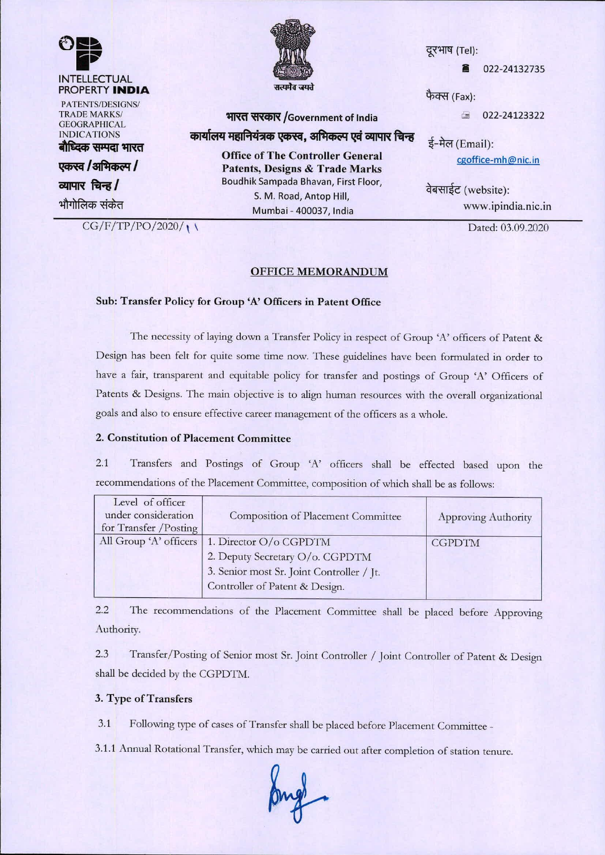

**TRADE MARKS/ GEOGRAPHICAL** INDICATIONS बौध्दिक सम्पदा भारत

**एकस्व /अभिकल्प /** <u>व्यापार चिन्ह/</u> भौगोलिक संकेत

 $CG/F/TP/PO/2020/1)$ 



# भारत सरकार /Government of India कार्यालय महानियंत्रक एकस्व, अभिकल्प एवं व्यापार चिन्ह

Office of The Controller General Patents, Designs & Trade Marks Boudhik Sampada Bhavan, First Floor, S. M. Road, Antop Hill, Mumbai - 400037, India

दूरभाष (Tel):

022-24132735

फैक्स $(Fast)$ :

 $\text{22-24123322}$ 

ई-मेल (Email): [cgoffice-mh@nic.in](mailto:cgoffice-mh@nic.in)

वेबसाईट (website): [www.ipindia.nic.in](http://www.ipindia.nic.in)

Dated: 03.09.2020

OFFICE MEMORANDUM

### Sub: Transfer Policy for Group 'A' Officers in Patent Office

The necessity of laying down a Transfer Policy in respect of Group 'A' officers of Patent & Design has been fclt for quite some time now. These guidelines have been formulated in order to have a fair, transparent and equitable policy for transfer and postings of Group 'A' Officers of Patents & Designs. The main objective is to align human resources with the overall organizational goals and also to ensure effective career management of the ofticcrs as a whole.

## 2. Constitution of Placement Committee

2.1 Transfers and Postings of Group 'A' officers shall be effected based upon the recommendations of the Placement Committee, composition of which shall be as follows:

| Level of officer<br>under consideration<br>for Transfer / Posting | Composition of Placement Committee        | <b>Approving Authority</b> |
|-------------------------------------------------------------------|-------------------------------------------|----------------------------|
| All Group 'A' officers                                            | 1. Director O/o CGPDTM                    | <b>CGPDTM</b>              |
|                                                                   | 2. Deputy Secretary O/o. CGPDTM           |                            |
|                                                                   | 3. Senior most Sr. Joint Controller / Jt. |                            |
|                                                                   | Controller of Patent & Design.            |                            |

2.2 The recommendations of the Placement Committee shall be placed before Approving Authority.

2.3 Transfer/Posting of Senior most Sr. Joint Controller / Joint Controller of Patent & Design shall be decided by the CGPDTM.

### 3. Type of Transfers

3.1 Following type of cases of Transfer shall be placed before Placement Committee-

3.1.1 Annual Rotational Transfer, which may be carried out after completion of station tenure.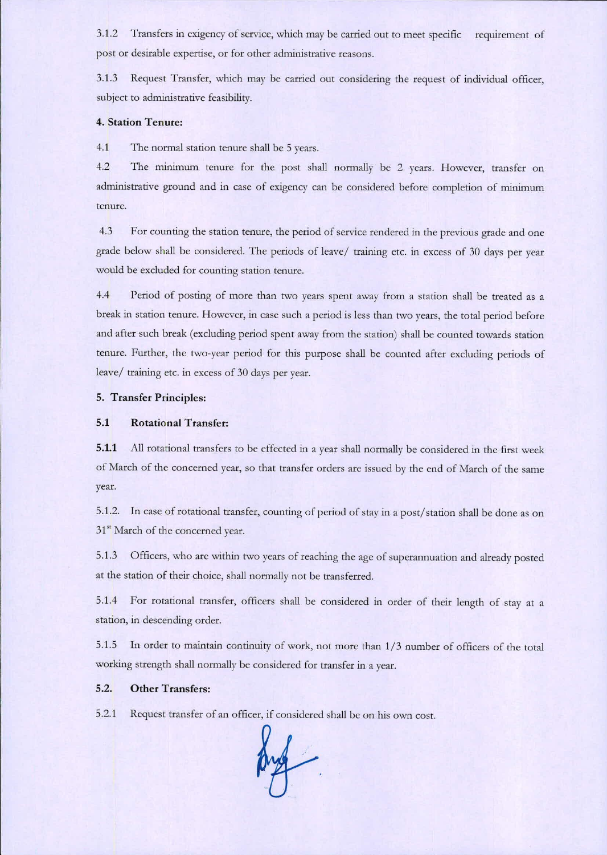**3.1.2 Transfers in exigency of service, which may be carried out to meet specific requirement of post or desirable expertise, or for other administrative reasons.**

3.1.3 Request Transfer, which may be carried out considering the request of individual officer, subject to administrative feasibility.

## 4. Station Tenure:

4.1 The normal station tenure shall be 5 years.

**4.2 'lbe minimum tenure for the post shall normally be 2 years. However. transfer on administrative ground and in case of exigency can be considered before completion of minimum tenure.**

**4.3 For counting the station tenure, the period of service rendered in the previous grade and one** grade below shall be considered. The periods of leave/ training etc. in excess of 30 days per year **would be excluded for counting station tenure.**

4.4 Period of posting of more than two years spent away from a station shall be treated as a break in station tenure. However, in case such a period is less than two years, the total period before and after such break (excluding period spent away from the station) shall be counted towards station tenure. Further, the two-year period for this purpose shall be counted after excluding periods of leave/ training etc. in excess of 30 days per year.

## 5. Transfer Principles:

#### 5.1 Rotational Transfer:

5.1.1 All rotational transfers to be effected in a year shall normally be considered in the first week of March of the concerned year, so that transfer orders are issued by the end of March of the same **year.**

5.1.2. In case of rotational transfer, counting of period of stay in a post/station shall be done as on **31 SI 1\1archof the concerned year.**

5.1.3 Officers, who arc within two years of reaching the age of superannuation and already posted at the station of their choice, shall normally not be transferred.

5.1.4 For rotational transfer, officers shall be considered in order of their length of stay at a **station. in descending order.**

**5.1.5 In order to maintain continuity of work, not more than 1/3 number of officers of the total working strength shall nonnally be considered for transfer in a year.**

## 5.2. Other Transfers:

**5.2.1 Request transfer of an officer, if considered shall be on his own cost.**

ma